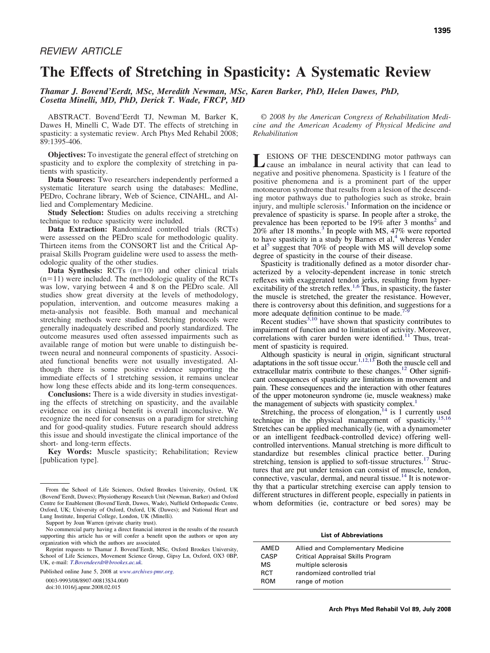# **The Effects of Stretching in Spasticity: A Systematic Review**

*Thamar J. Bovend'Eerdt, MSc, Meredith Newman, MSc, Karen Barker, PhD, Helen Dawes, PhD, Cosetta Minelli, MD, PhD, Derick T. Wade, FRCP, MD*

ABSTRACT. Bovend'Eerdt TJ, Newman M, Barker K, Dawes H, Minelli C, Wade DT. The effects of stretching in spasticity: a systematic review. Arch Phys Med Rehabil 2008; 89:1395-406.

**Objectives:** To investigate the general effect of stretching on spasticity and to explore the complexity of stretching in patients with spasticity.

**Data Sources:** Two researchers independently performed a systematic literature search using the databases: Medline, PEDro, Cochrane library, Web of Science, CINAHL, and Allied and Complementary Medicine.

**Study Selection:** Studies on adults receiving a stretching technique to reduce spasticity were included.

**Data Extraction:** Randomized controlled trials (RCTs) were assessed on the PEDro scale for methodologic quality. Thirteen items from the CONSORT list and the Critical Appraisal Skills Program guideline were used to assess the methodologic quality of the other studies.

**Data Synthesis:** RCTs  $(n=10)$  and other clinical trials  $(n=11)$  were included. The methodologic quality of the RCTs was low, varying between 4 and 8 on the PEDro scale. All studies show great diversity at the levels of methodology, population, intervention, and outcome measures making a meta-analysis not feasible. Both manual and mechanical stretching methods were studied. Stretching protocols were generally inadequately described and poorly standardized. The outcome measures used often assessed impairments such as available range of motion but were unable to distinguish between neural and nonneural components of spasticity. Associated functional benefits were not usually investigated. Although there is some positive evidence supporting the immediate effects of 1 stretching session, it remains unclear how long these effects abide and its long-term consequences.

**Conclusions:** There is a wide diversity in studies investigating the effects of stretching on spasticity, and the available evidence on its clinical benefit is overall inconclusive. We recognize the need for consensus on a paradigm for stretching and for good-quality studies. Future research should address this issue and should investigate the clinical importance of the short- and long-term effects.

**Key Words:** Muscle spasticity; Rehabilitation; Review [publication type].

Support by Joan Warren (private charity trust).

Published online June 5, 2008 at *<www.archives-pmr.org>*.

doi:10.1016/j.apmr.2008.02.015

© *2008 by the American Congress of Rehabilitation Medicine and the American Academy of Physical Medicine and Rehabilitation*

LESIONS OF THE DESCENDING motor pathways can imbalance in neural activity that can lead to negative and positive phenomena. Spasticity is 1 feature of the positive phenomena and is a prominent part of the upper motoneuron syndrome that results from a lesion of the descending motor pathways due to pathologies such as stroke, brain injury, and multiple sclerosis.<sup>[1](#page-9-0)</sup> Information on the incidence or prevalence of spasticity is sparse. In people after a stroke, the prevalence has been reported to be  $19\%$  after 3 months<sup>[2](#page-9-0)</sup> and  $20\%$  after 18 months.<sup>[3](#page-9-0)</sup> In people with MS, 47% were reported to have spasticity in a study by Barnes et al,<sup>[4](#page-9-0)</sup> whereas Vender et al<sup>3</sup> suggest that 70% of people with MS will develop some degree of spasticity in the course of their disease.

Spasticity is traditionally defined as a motor disorder characterized by a velocity-dependent increase in tonic stretch reflexes with exaggerated tendon jerks, resulting from hyper-excitability of the stretch reflex.<sup>[1,6](#page-9-0)</sup> Thus, in spasticity, the faster the muscle is stretched, the greater the resistance. However, there is controversy about this definition, and suggestions for a more adequate definition continue to be made.<sup>7</sup>

Recent studies<sup>[3,10](#page-9-0)</sup> have shown that spasticity contributes to impairment of function and to limitation of activity. Moreover, correlations with carer burden were identified.<sup>[11](#page-9-0)</sup> Thus, treatment of spasticity is required.

Although spasticity is neural in origin, significant structural adaptations in the soft tissue occur.<sup>1,12,13</sup> Both the muscle cell and extracellular matrix contribute to these changes.<sup>12</sup> Other significant consequences of spasticity are limitations in movement and pain. These consequences and the interaction with other features of the upper motoneuron syndrome (ie, muscle weakness) make the management of subjects with spasticity complex.<sup>1</sup>

Stretching, the process of elongation,  $14$  is 1 currently used technique in the physical management of spasticity.[15,16](#page-9-0) Stretches can be applied mechanically (ie, with a dynamometer or an intelligent feedback-controlled device) offering wellcontrolled interventions. Manual stretching is more difficult to standardize but resembles clinical practice better. During stretching, tension is applied to soft-tissue structures.<sup>[17](#page-9-0)</sup> Structures that are put under tension can consist of muscle, tendon, connective, vascular, dermal, and neural tissue.<sup>[14](#page-9-0)</sup> It is noteworthy that a particular stretching exercise can apply tension to different structures in different people, especially in patients in whom deformities (ie, contracture or bed sores) may be

#### **List of Abbreviations**

| AMED       | Allied and Complementary Medicine        |
|------------|------------------------------------------|
| CASP       | <b>Critical Appraisal Skills Program</b> |
| МS         | multiple sclerosis                       |
| <b>RCT</b> | randomized controlled trial              |
| <b>ROM</b> | range of motion                          |

From the School of Life Sciences, Oxford Brookes University, Oxford, UK (Bovend'Eerdt, Dawes); Physiotherapy Research Unit (Newman, Barker) and Oxford Centre for Enablement (Bovend'Eerdt, Dawes, Wade), Nuffield Orthopaedic Centre, Oxford, UK; University of Oxford, Oxford, UK (Dawes); and National Heart and Lung Institute, Imperial College, London, UK (Minelli).

No commercial party having a direct financial interest in the results of the research supporting this article has or will confer a benefit upon the authors or upon any organization with which the authors are associated.

Reprint requests to Thamar J. Bovend'Eerdt, MSc, Oxford Brookes University, School of Life Sciences, Movement Science Group, Gipsy Ln, Oxford, OX3 0BP, UK, e-mail: *[T.Bovendeerdt@brookes.ac.uk.](mailto:T.Bovendeerdt@brookes.ac.uk)*

<sup>0003-9993/08/8907-00813\$34.00/0</sup>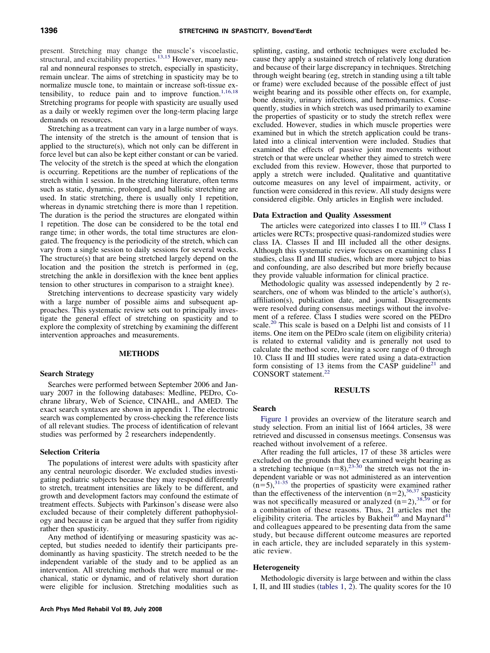present. Stretching may change the muscle's viscoelastic, structural, and excitability properties.<sup>[13,15](#page-9-0)</sup> However, many neural and nonneural responses to stretch, especially in spasticity, remain unclear. The aims of stretching in spasticity may be to normalize muscle tone, to maintain or increase soft-tissue extensibility, to reduce pain and to improve function. $1,16,18$ Stretching programs for people with spasticity are usually used as a daily or weekly regimen over the long-term placing large demands on resources.

Stretching as a treatment can vary in a large number of ways. The intensity of the stretch is the amount of tension that is applied to the structure(s), which not only can be different in force level but can also be kept either constant or can be varied. The velocity of the stretch is the speed at which the elongation is occurring. Repetitions are the number of replications of the stretch within 1 session. In the stretching literature, often terms such as static, dynamic, prolonged, and ballistic stretching are used. In static stretching, there is usually only 1 repetition, whereas in dynamic stretching there is more than 1 repetition. The duration is the period the structures are elongated within 1 repetition. The dose can be considered to be the total end range time; in other words, the total time structures are elongated. The frequency is the periodicity of the stretch, which can vary from a single session to daily sessions for several weeks. The structure(s) that are being stretched largely depend on the location and the position the stretch is performed in (eg, stretching the ankle in dorsiflexion with the knee bent applies tension to other structures in comparison to a straight knee).

Stretching interventions to decrease spasticity vary widely with a large number of possible aims and subsequent approaches. This systematic review sets out to principally investigate the general effect of stretching on spasticity and to explore the complexity of stretching by examining the different intervention approaches and measurements.

## **METHODS**

## **Search Strategy**

Searches were performed between September 2006 and January 2007 in the following databases: Medline, PEDro, Cochrane library, Web of Science, CINAHL, and AMED. The exact search syntaxes are shown in appendix 1. The electronic search was complemented by cross-checking the reference lists of all relevant studies. The process of identification of relevant studies was performed by 2 researchers independently.

#### **Selection Criteria**

The populations of interest were adults with spasticity after any central neurologic disorder. We excluded studies investigating pediatric subjects because they may respond differently to stretch, treatment intensities are likely to be different, and growth and development factors may confound the estimate of treatment effects. Subjects with Parkinson's disease were also excluded because of their completely different pathophysiology and because it can be argued that they suffer from rigidity rather then spasticity.

Any method of identifying or measuring spasticity was accepted, but studies needed to identify their participants predominantly as having spasticity. The stretch needed to be the independent variable of the study and to be applied as an intervention. All stretching methods that were manual or mechanical, static or dynamic, and of relatively short duration were eligible for inclusion. Stretching modalities such as splinting, casting, and orthotic techniques were excluded because they apply a sustained stretch of relatively long duration and because of their large discrepancy in techniques. Stretching through weight bearing (eg, stretch in standing using a tilt table or frame) were excluded because of the possible effect of just weight bearing and its possible other effects on, for example, bone density, urinary infections, and hemodynamics. Consequently, studies in which stretch was used primarily to examine the properties of spasticity or to study the stretch reflex were excluded. However, studies in which muscle properties were examined but in which the stretch application could be translated into a clinical intervention were included. Studies that examined the effects of passive joint movements without stretch or that were unclear whether they aimed to stretch were excluded from this review. However, those that purported to apply a stretch were included. Qualitative and quantitative outcome measures on any level of impairment, activity, or function were considered in this review. All study designs were considered eligible. Only articles in English were included.

#### **Data Extraction and Quality Assessment**

The articles were categorized into classes I to  $III.^{19}$  $III.^{19}$  $III.^{19}$  Class I articles were RCTs; prospective quasi-randomized studies were class IA. Classes II and III included all the other designs. Although this systematic review focuses on examining class I studies, class II and III studies, which are more subject to bias and confounding, are also described but more briefly because they provide valuable information for clinical practice.

Methodologic quality was assessed independently by 2 researchers, one of whom was blinded to the article's author(s), affiliation(s), publication date, and journal. Disagreements were resolved during consensus meetings without the involvement of a referee. Class I studies were scored on the PEDro scale.<sup>[20](#page-9-0)</sup> This scale is based on a Delphi list and consists of 11 items. One item on the PEDro scale (item on eligibility criteria) is related to external validity and is generally not used to calculate the method score, leaving a score range of 0 through 10. Class II and III studies were rated using a data-extraction form consisting of 13 items from the CASP guideline<sup>[21](#page-9-0)</sup> and CONSORT statement.<sup>2</sup>

# **RESULTS**

#### **Search**

[Figure 1](#page-2-0) provides an overview of the literature search and study selection. From an initial list of 1664 articles, 38 were retrieved and discussed in consensus meetings. Consensus was reached without involvement of a referee.

After reading the full articles, 17 of these 38 articles were excluded on the grounds that they examined weight bearing as a stretching technique  $(n=8)$ ,<sup>[23-30](#page-10-0)</sup> the stretch was not the independent variable or was not administered as an intervention  $(n=5)$ ,<sup>[31-35](#page-10-0)</sup> the properties of spasticity were examined rather than the effectiveness of the intervention  $(n=2)$ , <sup>[36,37](#page-10-0)</sup> spasticity was not specifically measured or analyzed  $(n=2)$ , <sup>[38,39](#page-10-0)</sup> or for a combination of these reasons. Thus, 21 articles met the eligibility criteria. The articles by Bakheit<sup>[40](#page-10-0)</sup> and Maynard<sup>[41](#page-10-0)</sup> and colleagues appeared to be presenting data from the same study, but because different outcome measures are reported in each article, they are included separately in this systematic review.

#### **Heterogeneity**

Methodologic diversity is large between and within the class I, II, and III studies [\(tables 1,](#page-3-0) [2\)](#page-5-0). The quality scores for the 10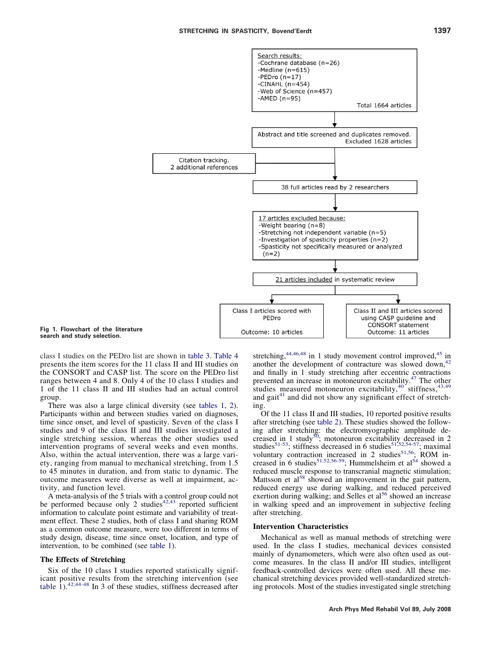

<span id="page-2-0"></span>

**Fig 1. Flowchart of the literature search and study selection.**

class I studies on the PEDro list are shown in [table 3.](#page-7-0) [Table 4](#page-7-0) presents the item scores for the 11 class II and III studies on the CONSORT and CASP list. The score on the PEDro list ranges between 4 and 8. Only 4 of the 10 class I studies and 1 of the 11 class II and III studies had an actual control group.

There was also a large clinical diversity (see [tables 1,](#page-3-0) [2\)](#page-5-0). Participants within and between studies varied on diagnoses, time since onset, and level of spasticity. Seven of the class I studies and 9 of the class II and III studies investigated a single stretching session, whereas the other studies used intervention programs of several weeks and even months. Also, within the actual intervention, there was a large variety, ranging from manual to mechanical stretching, from 1.5 to 45 minutes in duration, and from static to dynamic. The outcome measures were diverse as well at impairment, activity, and function level.

A meta-analysis of the 5 trials with a control group could not be performed because only 2 studies $42,43$  reported sufficient information to calculate point estimate and variability of treatment effect. These 2 studies, both of class I and sharing ROM as a common outcome measure, were too different in terms of study design, disease, time since onset, location, and type of intervention, to be combined (see [table 1\)](#page-3-0).

## **The Effects of Stretching**

Six of the 10 class I studies reported statistically significant positive results from the stretching intervention (see table  $\overline{1}$ ).<sup>[42,44-48](#page-10-0)</sup> In 3 of these studies, stiffness decreased after

stretching,<sup>[44,46,48](#page-10-0)</sup> in 1 study movement control improved,<sup>[45](#page-10-0)</sup> in another the development of contracture was slowed down, $42$ and finally in 1 study stretching after eccentric contractions prevented an increase in motoneuron excitability.[47](#page-10-0) The other studies measured motoneuron excitability, $40\degree$  $40\degree$  stiffness,  $43,49$ and gait $^{41}$  $^{41}$  $^{41}$  and did not show any significant effect of stretching.

Of the 11 class II and III studies, 10 reported positive results after stretching (see [table 2\)](#page-5-0). These studies showed the following after stretching: the electromyographic amplitude de-<br>creased in 1 study<sup>50</sup>; motoneuron excitability decreased in 2 studies<sup>51-53</sup>; stiffness decreased in 6 studies<sup>51,52,54-57</sup>; maximal voluntary contraction increased in 2 studies<sup>51,56</sup>; ROM increased in 6 studies<sup>51,52,56-59</sup>; Hummelsheim et al<sup>54</sup> showed a reduced muscle response to transcranial magnetic stimulation; Mattsson et al<sup>[58](#page-10-0)</sup> showed an improvement in the gait pattern, reduced energy use during walking, and reduced perceived exertion during walking; and Selles et al<sup>[56](#page-10-0)</sup> showed an increase in walking speed and an improvement in subjective feeling after stretching.

# **Intervention Characteristics**

Mechanical as well as manual methods of stretching were used. In the class I studies, mechanical devices consisted mainly of dynamometers, which were also often used as outcome measures. In the class II and/or III studies, intelligent feedback-controlled devices were often used. All these mechanical stretching devices provided well-standardized stretching protocols. Most of the studies investigated single stretching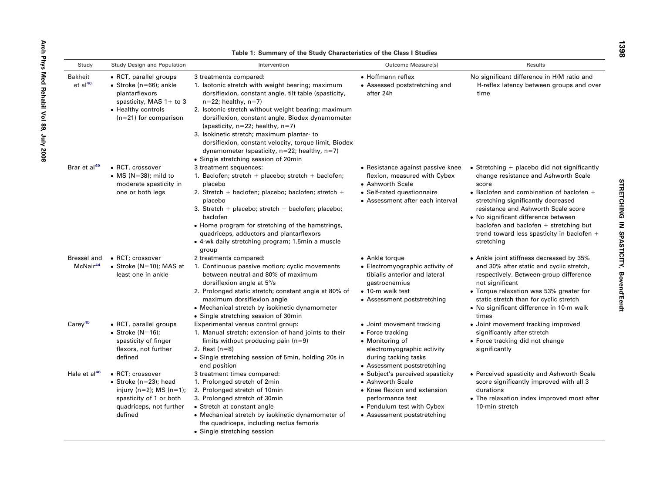**STRETCHING IN SPASTICITY, Bovend'Eerdt**

STRETCHING IN SPASTICITY, Bovend'Eerdt

<span id="page-3-0"></span>

|                                       |                                                                                                                                                      | Table 1: Summary of the Study Characteristics of the Class I Studies                                                                                                                                                                                                                                                                                                                                                                                                                                                      |                                                                                                                                                                       |                                                                                                                                                                                                                                                                                                                                                                           |  |  |  |
|---------------------------------------|------------------------------------------------------------------------------------------------------------------------------------------------------|---------------------------------------------------------------------------------------------------------------------------------------------------------------------------------------------------------------------------------------------------------------------------------------------------------------------------------------------------------------------------------------------------------------------------------------------------------------------------------------------------------------------------|-----------------------------------------------------------------------------------------------------------------------------------------------------------------------|---------------------------------------------------------------------------------------------------------------------------------------------------------------------------------------------------------------------------------------------------------------------------------------------------------------------------------------------------------------------------|--|--|--|
| Study                                 | Study Design and Population                                                                                                                          | Intervention                                                                                                                                                                                                                                                                                                                                                                                                                                                                                                              | Outcome Measure(s)                                                                                                                                                    | Results                                                                                                                                                                                                                                                                                                                                                                   |  |  |  |
| <b>Bakheit</b><br>et al <sup>40</sup> | • RCT, parallel groups<br>• Stroke ( $n=66$ ); ankle<br>plantarflexors<br>spasticity, MAS $1+$ to 3<br>• Healthy controls<br>$(n=21)$ for comparison | 3 treatments compared:<br>1. Isotonic stretch with weight bearing; maximum<br>dorsiflexion, constant angle, tilt table (spasticity,<br>$n=22$ ; healthy, $n=7$ )<br>2. Isotonic stretch without weight bearing; maximum<br>dorsiflexion, constant angle, Biodex dynamometer<br>(spasticity, $n=22$ ; healthy, $n=7$ )<br>3. Isokinetic stretch; maximum plantar-to<br>dorsiflexion, constant velocity, torque limit, Biodex<br>dynamometer (spasticity, $n=22$ ; healthy, $n=7$ )<br>• Single stretching session of 20min | • Hoffmann reflex<br>No significant difference in H/M ratio and<br>• Assessed poststretching and<br>H-reflex latency between groups and over<br>after 24h<br>time     |                                                                                                                                                                                                                                                                                                                                                                           |  |  |  |
| Brar et al <sup>49</sup>              | • RCT, crossover<br>• MS ( $N=38$ ); mild to<br>moderate spasticity in<br>one or both legs                                                           | 3 treatment sequences:<br>1. Baclofen; stretch + placebo; stretch + baclofen;<br>placebo<br>2. Stretch + baclofen; placebo; baclofen; stretch +<br>placebo<br>3. Stretch + placebo; stretch + baclofen; placebo;<br>baclofen<br>• Home program for stretching of the hamstrings,<br>quadriceps, adductors and plantarflexors<br>• 4-wk daily stretching program; 1.5min a muscle<br>group                                                                                                                                 | • Resistance against passive knee<br>flexion, measured with Cybex<br>• Ashworth Scale<br>• Self-rated questionnaire<br>• Assessment after each interval               | • Stretching $+$ placebo did not significantly<br>change resistance and Ashworth Scale<br>score<br>• Baclofen and combination of baclofen $+$<br>stretching significantly decreased<br>resistance and Ashworth Scale score<br>• No significant difference between<br>baclofen and baclofen $+$ stretching but<br>trend toward less spasticity in baclofen +<br>stretching |  |  |  |
| Bressel and<br>McNair <sup>44</sup>   | • RCT: crossover<br>• Stroke ( $N=10$ ); MAS at<br>least one in ankle                                                                                | 2 treatments compared:<br>1. Continuous passive motion; cyclic movements<br>between neutral and 80% of maximum<br>dorsiflexion angle at 5°/s<br>2. Prolonged static stretch; constant angle at 80% of<br>maximum dorsiflexion angle<br>• Mechanical stretch by isokinetic dynamometer<br>• Single stretching session of 30min                                                                                                                                                                                             | • Ankle torque<br>• Electromyographic activity of<br>tibialis anterior and lateral<br>gastrocnemius<br>• 10-m walk test<br>• Assessment poststretching                | • Ankle joint stiffness decreased by 35%<br>and 30% after static and cyclic stretch,<br>respectively. Between-group difference<br>not significant<br>• Torque relaxation was 53% greater for<br>static stretch than for cyclic stretch<br>• No significant difference in 10-m walk<br>times                                                                               |  |  |  |
| Carey <sup>45</sup>                   | • RCT, parallel groups<br>• Stroke $(N=16)$ ;<br>spasticity of finger<br>flexors, not further<br>defined                                             | Experimental versus control group:<br>1. Manual stretch; extension of hand joints to their<br>limits without producing pain $(n=9)$<br>2. Rest $(n=8)$<br>• Single stretching session of 5min, holding 20s in<br>end position                                                                                                                                                                                                                                                                                             | • Joint movement tracking<br>• Force tracking<br>• Monitoring of<br>electromyographic activity<br>during tacking tasks<br>• Assessment poststretching                 | • Joint movement tracking improved<br>significantly after stretch<br>• Force tracking did not change<br>significantly                                                                                                                                                                                                                                                     |  |  |  |
| Hale et al <sup>46</sup>              | • RCT; crossover<br>• Stroke ( $n=23$ ); head<br>injury (n=2); MS (n=1);<br>spasticity of 1 or both<br>quadriceps, not further<br>defined            | 3 treatment times compared:<br>1. Prolonged stretch of 2min<br>2. Prolonged stretch of 10min<br>3. Prolonged stretch of 30min<br>• Stretch at constant angle<br>• Mechanical stretch by isokinetic dynamometer of<br>the quadriceps, including rectus femoris<br>• Single stretching session                                                                                                                                                                                                                              | • Subject's perceived spasticity<br>• Ashworth Scale<br>• Knee flexion and extension<br>performance test<br>• Pendulum test with Cybex<br>• Assessment poststretching | • Perceived spasticity and Ashworth Scale<br>score significantly improved with all 3<br>durations<br>• The relaxation index improved most after<br>10-min stretch                                                                                                                                                                                                         |  |  |  |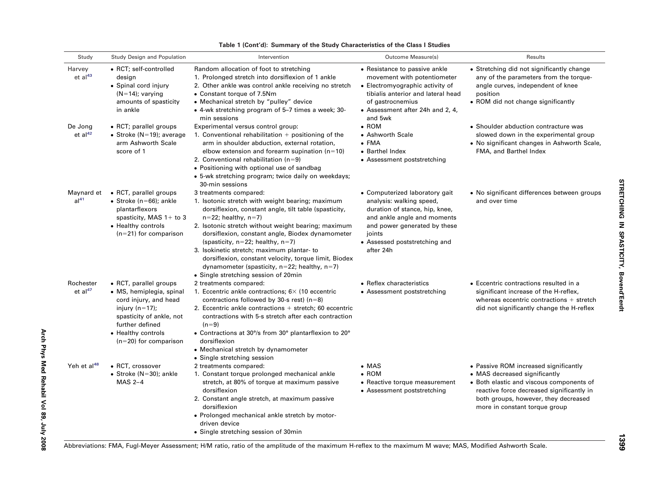| Study                            | Study Design and Population                                                                                                                                                                      | Intervention                                                                                                                                                                                                                                                                                                                                                                                                                                                                                                              | Outcome Measure(s)                                                                                                                                                                                                  | Results                                                                                                                                                                                                                                  |  |  |  |
|----------------------------------|--------------------------------------------------------------------------------------------------------------------------------------------------------------------------------------------------|---------------------------------------------------------------------------------------------------------------------------------------------------------------------------------------------------------------------------------------------------------------------------------------------------------------------------------------------------------------------------------------------------------------------------------------------------------------------------------------------------------------------------|---------------------------------------------------------------------------------------------------------------------------------------------------------------------------------------------------------------------|------------------------------------------------------------------------------------------------------------------------------------------------------------------------------------------------------------------------------------------|--|--|--|
| Harvey<br>et al <sup>43</sup>    | • RCT; self-controlled<br>design<br>• Spinal cord injury<br>$(N=14)$ ; varying<br>amounts of spasticity<br>in ankle                                                                              | Random allocation of foot to stretching<br>1. Prolonged stretch into dorsiflexion of 1 ankle<br>2. Other ankle was control ankle receiving no stretch<br>• Constant torque of 7.5Nm<br>• Mechanical stretch by "pulley" device<br>• 4-wk stretching program of 5–7 times a week; 30-<br>min sessions                                                                                                                                                                                                                      | • Resistance to passive ankle<br>movement with potentiometer<br>• Electromyographic activity of<br>tibialis anterior and lateral head<br>of gastrocnemius<br>• Assessment after 24h and 2, 4,<br>and 5wk            | • Stretching did not significantly change<br>any of the parameters from the torque-<br>angle curves, independent of knee<br>position<br>• ROM did not change significantly                                                               |  |  |  |
| De Jong<br>et al <sup>42</sup>   | • RCT; parallel groups<br>• Stroke ( $N=19$ ); average<br>arm Ashworth Scale<br>score of 1                                                                                                       | Experimental versus control group:<br>1. Conventional rehabilitation $+$ positioning of the<br>arm in shoulder abduction, external rotation,<br>elbow extension and forearm supination $(n=10)$<br>2. Conventional rehabilitation $(n=9)$<br>• Positioning with optional use of sandbag<br>• 5-wk stretching program; twice daily on weekdays;<br>30-min sessions                                                                                                                                                         | $\bullet$ ROM<br>• Ashworth Scale<br>$\bullet$ FMA<br>• Barthel Index<br>• Assessment poststretching                                                                                                                | • Shoulder abduction contracture was<br>slowed down in the experimental group<br>• No significant changes in Ashworth Scale,<br>FMA, and Barthel Index                                                                                   |  |  |  |
| Maynard et<br>al <sup>41</sup>   | • RCT, parallel groups<br>• Stroke ( $n=66$ ); ankle<br>plantarflexors<br>spasticity, MAS $1+$ to 3<br>• Healthy controls<br>$(n=21)$ for comparison                                             | 3 treatments compared:<br>1. Isotonic stretch with weight bearing; maximum<br>dorsiflexion, constant angle, tilt table (spasticity,<br>$n=22$ ; healthy, $n=7$ )<br>2. Isotonic stretch without weight bearing; maximum<br>dorsiflexion, constant angle, Biodex dynamometer<br>(spasticity, $n=22$ ; healthy, $n=7$ )<br>3. Isokinetic stretch; maximum plantar-to<br>dorsiflexion, constant velocity, torque limit, Biodex<br>dynamometer (spasticity, $n=22$ ; healthy, $n=7$ )<br>• Single stretching session of 20min | • Computerized laboratory gait<br>analysis: walking speed,<br>duration of stance, hip, knee,<br>and ankle angle and moments<br>and power generated by these<br>joints<br>• Assessed poststretching and<br>after 24h | • No significant differences between groups<br>and over time                                                                                                                                                                             |  |  |  |
| Rochester<br>et al <sup>47</sup> | • RCT, parallel groups<br>· MS, hemiplegia, spinal<br>cord injury, and head<br>injury $(n=17)$ ;<br>spasticity of ankle, not<br>further defined<br>• Healthy controls<br>$(n=20)$ for comparison | 2 treatments compared:<br>1. Eccentric ankle contractions; $6 \times$ (10 eccentric<br>contractions followed by 30-s rest) (n=8)<br>2. Eccentric ankle contractions $+$ stretch; 60 eccentric<br>contractions with 5-s stretch after each contraction<br>$(n=9)$<br>• Contractions at 30°/s from 30° plantarflexion to 20°<br>dorsiflexion<br>• Mechanical stretch by dynamometer                                                                                                                                         | • Reflex characteristics<br>• Assessment poststretching                                                                                                                                                             | • Eccentric contractions resulted in a<br>significant increase of the H-reflex,<br>whereas eccentric contractions $+$ stretch<br>did not significantly change the H-reflex                                                               |  |  |  |
| Yeh et al <sup>48</sup>          | • RCT, crossover<br>$\bullet$ Stroke (N=30); ankle<br>$MAS 2-4$                                                                                                                                  | • Single stretching session<br>2 treatments compared:<br>1. Constant torque prolonged mechanical ankle<br>stretch, at 80% of torque at maximum passive<br>dorsiflexion<br>2. Constant angle stretch, at maximum passive<br>dorsiflexion<br>• Prolonged mechanical ankle stretch by motor-<br>driven device<br>• Single stretching session of 30min                                                                                                                                                                        | $\bullet$ MAS<br>$\bullet$ ROM<br>• Reactive torque measurement<br>• Assessment poststretching                                                                                                                      | • Passive ROM increased significantly<br>• MAS decreased significantly<br>• Both elastic and viscous components of<br>reactive force decreased significantly in<br>both groups, however, they decreased<br>more in constant torque group |  |  |  |

# Table 1 (Cont'd): Summary of the Study Characteristics of the Class I Studies

**1399 STRETCHING IN SPASTICITY, Bovend'Eerdt** 1399

STRETCHING IN SPASTICITY, Bovend'Eerdt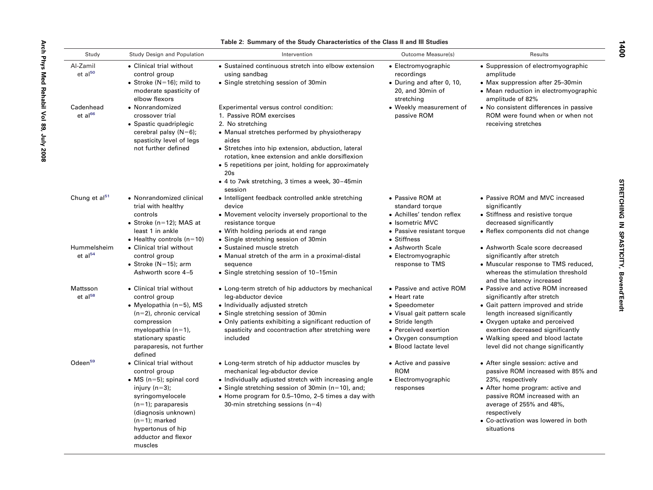**STRETCHING IN SPASTICITY, Bovend'Eerdt**

STRETCHING IN SPASTICITY, Bovend'Eerdt

<span id="page-5-0"></span>

|                                    |                                                                                                                                                                                                                                            | Table 2: Summary of the Study Characteristics of the Class II and III Studies                                                                                                                                                                                                                                                                                                                      |                                                                                                                                                                                              |                                                                                                                                                                                                                                                                                           |  |  |
|------------------------------------|--------------------------------------------------------------------------------------------------------------------------------------------------------------------------------------------------------------------------------------------|----------------------------------------------------------------------------------------------------------------------------------------------------------------------------------------------------------------------------------------------------------------------------------------------------------------------------------------------------------------------------------------------------|----------------------------------------------------------------------------------------------------------------------------------------------------------------------------------------------|-------------------------------------------------------------------------------------------------------------------------------------------------------------------------------------------------------------------------------------------------------------------------------------------|--|--|
| Study                              | Study Design and Population                                                                                                                                                                                                                | Intervention                                                                                                                                                                                                                                                                                                                                                                                       | Outcome Measure(s)                                                                                                                                                                           | Results                                                                                                                                                                                                                                                                                   |  |  |
| Al-Zamil<br>et al <sup>50</sup>    | • Clinical trial without<br>control group<br>• Stroke ( $N=16$ ); mild to<br>moderate spasticity of<br>elbow flexors                                                                                                                       | • Sustained continuous stretch into elbow extension<br>using sandbag<br>• Single stretching session of 30min                                                                                                                                                                                                                                                                                       | • Electromyographic<br>recordings<br>• During and after 0, 10,<br>20, and 30min of<br>stretching                                                                                             | • Suppression of electromyographic<br>amplitude<br>• Max suppression after 25-30min<br>• Mean reduction in electromyographic<br>amplitude of 82%                                                                                                                                          |  |  |
| Cadenhead<br>et al <sup>66</sup>   | • Nonrandomized<br>crossover trial<br>• Spastic quadriplegic<br>cerebral palsy $(N=6)$ ;<br>spasticity level of legs<br>not further defined                                                                                                | Experimental versus control condition:<br>1. Passive ROM exercises<br>2. No stretching<br>• Manual stretches performed by physiotherapy<br>aides<br>• Stretches into hip extension, abduction, lateral<br>rotation, knee extension and ankle dorsiflexion<br>• 5 repetitions per joint, holding for approximately<br>20 <sub>s</sub><br>• 4 to 7wk stretching, 3 times a week, 30-45min<br>session | • Weekly measurement of<br>passive ROM                                                                                                                                                       | • No consistent differences in passive<br>ROM were found when or when not<br>receiving stretches                                                                                                                                                                                          |  |  |
| Chung et $al51$                    | • Nonrandomized clinical<br>trial with healthy<br>controls<br>• Stroke ( $n=12$ ); MAS at<br>least 1 in ankle<br>• Healthy controls $(n=10)$                                                                                               | • Intelligent feedback controlled ankle stretching<br>device<br>• Movement velocity inversely proportional to the<br>resistance torque<br>• With holding periods at end range<br>• Single stretching session of 30min                                                                                                                                                                              | • Passive ROM at<br>standard torque<br>• Achilles' tendon reflex<br>• Isometric MVC<br>• Passive resistant torque<br>• Stiffness                                                             | • Passive ROM and MVC increased<br>significantly<br>• Stiffness and resistive torque<br>decreased significantly<br>• Reflex components did not change                                                                                                                                     |  |  |
| Hummelsheim<br>et al <sup>54</sup> | • Clinical trial without<br>control group<br>• Stroke ( $N=15$ ); arm<br>Ashworth score 4-5                                                                                                                                                | • Sustained muscle stretch<br>• Manual stretch of the arm in a proximal-distal<br>sequence<br>• Single stretching session of 10-15min                                                                                                                                                                                                                                                              | • Ashworth Scale<br>• Electromyographic<br>response to TMS                                                                                                                                   | • Ashworth Scale score decreased<br>significantly after stretch<br>• Muscular response to TMS reduced,<br>whereas the stimulation threshold<br>and the latency increased                                                                                                                  |  |  |
| Mattsson<br>et al <sup>58</sup>    | • Clinical trial without<br>control group<br>• Myelopathia ( $n=5$ ), MS<br>$(n=2)$ , chronic cervical<br>compression<br>myelopathia $(n=1)$ ,<br>stationary spastic<br>paraparesis, not further<br>defined                                | • Long-term stretch of hip adductors by mechanical<br>leg-abductor device<br>• Individually adjusted stretch<br>• Single stretching session of 30min<br>• Only patients exhibiting a significant reduction of<br>spasticity and cocontraction after stretching were<br>included                                                                                                                    | $\bullet$ Passive and active ROM<br>• Heart rate<br>• Speedometer<br>• Visual gait pattern scale<br>• Stride length<br>• Perceived exertion<br>• Oxygen consumption<br>• Blood lactate level | • Passive and active ROM increased<br>significantly after stretch<br>• Gait pattern improved and stride<br>length increased significantly<br>• Oxygen uptake and perceived<br>exertion decreased significantly<br>• Walking speed and blood lactate<br>level did not change significantly |  |  |
| Odeen <sup>59</sup>                | • Clinical trial without<br>control group<br>• MS $(n=5)$ ; spinal cord<br>injury $(n=3)$ ;<br>syringomyelocele<br>$(n=1)$ ; paraparesis<br>(diagnosis unknown)<br>$(n=1)$ ; marked<br>hypertonus of hip<br>adductor and flexor<br>muscles | • Long-term stretch of hip adductor muscles by<br>mechanical leg-abductor device<br>• Individually adjusted stretch with increasing angle<br>• Single stretching session of 30min ( $n=10$ ), and;<br>• Home program for 0.5–10mo, 2–5 times a day with<br>30-min stretching sessions ( $n=4$ )                                                                                                    | • Active and passive<br><b>ROM</b><br>• Electromyographic<br>responses                                                                                                                       | • After single session: active and<br>passive ROM increased with 85% and<br>23%, respectively<br>• After home program: active and<br>passive ROM increased with an<br>average of 255% and 48%,<br>respectively<br>• Co-activation was lowered in both<br>situations                       |  |  |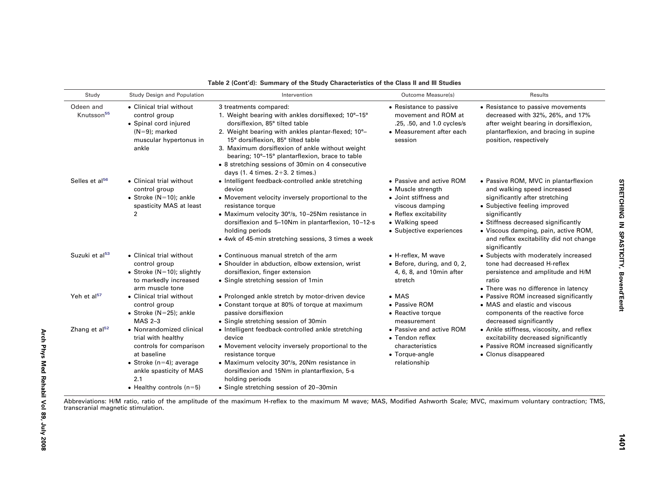| Study                               | Study Design and Population                                                                                                                                                             | Intervention                                                                                                                                                                                                                                                                                                                                                                                                 | Outcome Measure(s)                                                                                                                                                | Results                                                                                                                                                                                                                                                                                           |
|-------------------------------------|-----------------------------------------------------------------------------------------------------------------------------------------------------------------------------------------|--------------------------------------------------------------------------------------------------------------------------------------------------------------------------------------------------------------------------------------------------------------------------------------------------------------------------------------------------------------------------------------------------------------|-------------------------------------------------------------------------------------------------------------------------------------------------------------------|---------------------------------------------------------------------------------------------------------------------------------------------------------------------------------------------------------------------------------------------------------------------------------------------------|
| Odeen and<br>Knutsson <sup>55</sup> | • Clinical trial without<br>control group<br>• Spinal cord injured<br>$(N=9)$ ; marked<br>muscular hypertonus in<br>ankle                                                               | 3 treatments compared:<br>1. Weight bearing with ankles dorsiflexed; 10°-15°<br>dorsiflexion, 85° tilted table<br>2. Weight bearing with ankles plantar-flexed; 10°-<br>15° dorsiflexion, 85° tilted table<br>3. Maximum dorsiflexion of ankle without weight<br>bearing; 10°-15° plantarflexion, brace to table<br>• 8 stretching sessions of 30min on 4 consecutive<br>days (1. 4 times. $2+3$ . 2 times.) | • Resistance to passive<br>movement and ROM at<br>.25, .50, and 1.0 cycles/s<br>• Measurement after each<br>session                                               | • Resistance to passive movements<br>decreased with 32%, 26%, and 17%<br>after weight bearing in dorsiflexion,<br>plantarflexion, and bracing in supine<br>position, respectively                                                                                                                 |
| Selles et al <sup>56</sup>          | • Clinical trial without<br>control group<br>• Stroke ( $N=10$ ); ankle<br>spasticity MAS at least<br>2                                                                                 | • Intelligent feedback-controlled ankle stretching<br>device<br>• Movement velocity inversely proportional to the<br>resistance torque<br>• Maximum velocity 30%, 10-25Nm resistance in<br>dorsiflexion and 5-10Nm in plantarflexion, 10-12-s<br>holding periods<br>• 4wk of 45-min stretching sessions, 3 times a week                                                                                      | • Passive and active ROM<br>• Muscle strength<br>• Joint stiffness and<br>viscous damping<br>• Reflex excitability<br>• Walking speed<br>• Subjective experiences | • Passive ROM, MVC in plantarflexion<br>and walking speed increased<br>significantly after stretching<br>• Subjective feeling improved<br>significantly<br>• Stiffness decreased significantly<br>· Viscous damping, pain, active ROM,<br>and reflex excitability did not change<br>significantly |
| Suzuki et al <sup>53</sup>          | • Clinical trial without<br>control group<br>• Stroke ( $N=10$ ); slightly<br>to markedly increased<br>arm muscle tone                                                                  | • Continuous manual stretch of the arm<br>• Shoulder in abduction, elbow extension, wrist<br>dorsiflexion, finger extension<br>• Single stretching session of 1 min                                                                                                                                                                                                                                          | • H-reflex, M wave<br>• Before, during, and 0, 2,<br>4, 6, 8, and 10min after<br>stretch                                                                          | • Subjects with moderately increased<br>tone had decreased H-reflex<br>persistence and amplitude and H/M<br>ratio<br>• There was no difference in latency                                                                                                                                         |
| Yeh et al <sup>57</sup>             | • Clinical trial without<br>control group<br>• Stroke ( $N=25$ ); ankle<br>MAS 2-3                                                                                                      | • Prolonged ankle stretch by motor-driven device<br>• Constant torque at 80% of torque at maximum<br>passive dorsiflexion<br>• Single stretching session of 30min                                                                                                                                                                                                                                            | $\bullet$ MAS<br>• Passive ROM<br>• Reactive torque<br>measurement                                                                                                | • Passive ROM increased significantly<br>• MAS and elastic and viscous<br>components of the reactive force<br>decreased significantly                                                                                                                                                             |
| Zhang et al <sup>52</sup>           | • Nonrandomized clinical<br>trial with healthy<br>controls for comparison<br>at baseline<br>• Stroke ( $n=4$ ); average<br>ankle spasticity of MAS<br>2.1<br>• Healthy controls $(n=5)$ | • Intelligent feedback-controlled ankle stretching<br>device<br>• Movement velocity inversely proportional to the<br>resistance torque<br>• Maximum velocity 30°/s, 20Nm resistance in<br>dorsiflexion and 15Nm in plantarflexion, 5-s<br>holding periods<br>• Single stretching session of 20-30min                                                                                                         | • Passive and active ROM<br>• Tendon reflex<br>characteristics<br>• Torque-angle<br>relationship                                                                  | • Ankle stiffness, viscosity, and reflex<br>excitability decreased significantly<br>• Passive ROM increased significantly<br>• Clonus disappeared                                                                                                                                                 |

#### Table 2 (Cont'd): Summary of the Study Characteristics of the Class II and III Studies

Abbreviations: H/M ratio, ratio of the amplitude of the maximum H-reflex to the maximum M wave; MAS, Modified Ashworth Scale; MVC, maximum voluntary contraction; TMS, transcranial magnetic stimulation.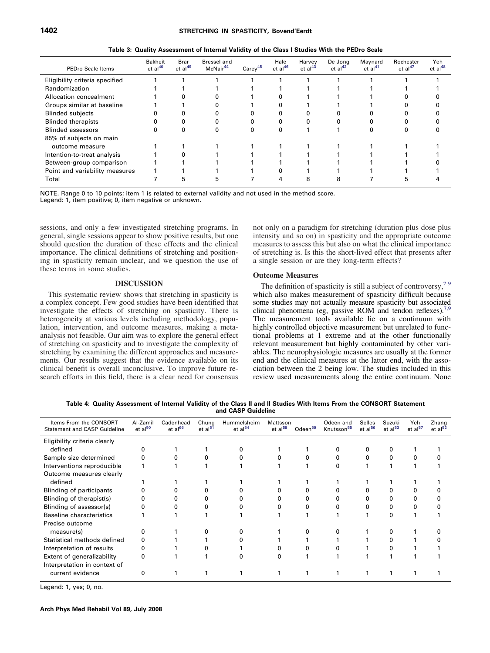<span id="page-7-0"></span>

| <b>PEDro Scale Items</b>       | <b>Bakheit</b><br>et al $40$ | Brar<br>et al <sup>49</sup> | Bressel and<br>McNair <sup>44</sup> | $Carev^{45}$ | Hale<br>et al <sup>46</sup> | Harvey<br>et al <sup>43</sup> | De Jong<br>et al <sup>42</sup> | Maynard<br>et al $41$ | Rochester<br>et al $47$ | Yeh<br>et al $^{48}$ |
|--------------------------------|------------------------------|-----------------------------|-------------------------------------|--------------|-----------------------------|-------------------------------|--------------------------------|-----------------------|-------------------------|----------------------|
| Eligibility criteria specified |                              |                             |                                     |              |                             |                               |                                |                       |                         |                      |
| Randomization                  |                              |                             |                                     |              |                             |                               |                                |                       |                         |                      |
| Allocation concealment         |                              |                             |                                     |              |                             |                               |                                |                       |                         |                      |
| Groups similar at baseline     |                              |                             |                                     |              |                             |                               |                                |                       |                         |                      |
| <b>Blinded subjects</b>        |                              |                             |                                     |              |                             |                               |                                |                       |                         |                      |
| <b>Blinded therapists</b>      |                              |                             |                                     |              |                             |                               |                                |                       |                         |                      |
| <b>Blinded assessors</b>       |                              |                             |                                     |              |                             |                               |                                |                       |                         |                      |
| 85% of subjects on main        |                              |                             |                                     |              |                             |                               |                                |                       |                         |                      |
| outcome measure                |                              |                             |                                     |              |                             |                               |                                |                       |                         |                      |
| Intention-to-treat analysis    |                              |                             |                                     |              |                             |                               |                                |                       |                         |                      |
| Between-group comparison       |                              |                             |                                     |              |                             |                               |                                |                       |                         |                      |
| Point and variability measures |                              |                             |                                     |              |                             |                               |                                |                       |                         |                      |
| Total                          |                              | 'n.                         |                                     |              |                             | 8                             |                                |                       |                         |                      |

**Table 3: Quality Assessment of Internal Validity of the Class I Studies With the PEDro Scale**

NOTE. Range 0 to 10 points; item 1 is related to external validity and not used in the method score. Legend: 1, item positive; 0, item negative or unknown.

sessions, and only a few investigated stretching programs. In general, single sessions appear to show positive results, but one should question the duration of these effects and the clinical importance. The clinical definitions of stretching and positioning in spasticity remain unclear, and we question the use of these terms in some studies.

#### **DISCUSSION**

This systematic review shows that stretching in spasticity is a complex concept. Few good studies have been identified that investigate the effects of stretching on spasticity. There is heterogeneity at various levels including methodology, population, intervention, and outcome measures, making a metaanalysis not feasible. Our aim was to explore the general effect of stretching on spasticity and to investigate the complexity of stretching by examining the different approaches and measurements. Our results suggest that the evidence available on its clinical benefit is overall inconclusive. To improve future research efforts in this field, there is a clear need for consensus not only on a paradigm for stretching (duration plus dose plus intensity and so on) in spasticity and the appropriate outcome measures to assess this but also on what the clinical importance of stretching is. Is this the short-lived effect that presents after a single session or are they long-term effects?

#### **Outcome Measures**

The definition of spasticity is still a subject of controversy, $7-9$ which also makes measurement of spasticity difficult because some studies may not actually measure spasticity but associated clinical phenomena (eg, passive ROM and tendon reflexes).<sup>7,9</sup> The measurement tools available lie on a continuum with highly controlled objective measurement but unrelated to functional problems at 1 extreme and at the other functionally relevant measurement but highly contaminated by other variables. The neurophysiologic measures are usually at the former end and the clinical measures at the latter end, with the association between the 2 being low. The studies included in this review used measurements along the entire continuum. None

**Table 4: Quality Assessment of Internal Validity of the Class II and II Studies With Items From the CONSORT Statement and CASP Guideline**

| Items From the CONSORT<br><b>Statement and CASP Guideline</b> | Al-Zamil<br>et al <sup>50</sup> | Cadenhead<br>et al <sup>66</sup> | Chung<br>et al <sup>51</sup> | Hummelsheim<br>et al <sup>54</sup> | Mattsson<br>et al <sup>58</sup> | Odeen <sup>59</sup> | Odeen and<br>Knutsson <sup>55</sup> | <b>Selles</b><br>et al <sup>56</sup> | Suzuki<br>et al <sup>53</sup> | Yeh<br>et al <sup>57</sup> | Zhang<br>et al <sup>52</sup> |
|---------------------------------------------------------------|---------------------------------|----------------------------------|------------------------------|------------------------------------|---------------------------------|---------------------|-------------------------------------|--------------------------------------|-------------------------------|----------------------------|------------------------------|
|                                                               |                                 |                                  |                              |                                    |                                 |                     |                                     |                                      |                               |                            |                              |
| Eligibility criteria clearly                                  |                                 |                                  |                              |                                    |                                 |                     |                                     |                                      |                               |                            |                              |
| defined                                                       |                                 |                                  |                              |                                    |                                 |                     |                                     |                                      |                               |                            |                              |
| Sample size determined                                        |                                 |                                  |                              |                                    |                                 |                     |                                     |                                      |                               |                            |                              |
| Interventions reproducible                                    |                                 |                                  |                              |                                    |                                 |                     |                                     |                                      |                               |                            |                              |
| Outcome measures clearly                                      |                                 |                                  |                              |                                    |                                 |                     |                                     |                                      |                               |                            |                              |
| defined                                                       |                                 |                                  |                              |                                    |                                 |                     |                                     |                                      |                               |                            |                              |
| Blinding of participants                                      |                                 |                                  |                              |                                    |                                 |                     |                                     |                                      |                               |                            |                              |
| Blinding of therapist(s)                                      |                                 |                                  |                              |                                    |                                 |                     |                                     |                                      |                               |                            |                              |
| Blinding of assessor(s)                                       |                                 |                                  |                              |                                    |                                 |                     |                                     |                                      |                               |                            |                              |
| Baseline characteristics                                      |                                 |                                  |                              |                                    |                                 |                     |                                     |                                      |                               |                            |                              |
| Precise outcome                                               |                                 |                                  |                              |                                    |                                 |                     |                                     |                                      |                               |                            |                              |
| measure(s)                                                    |                                 |                                  |                              |                                    |                                 |                     |                                     |                                      |                               |                            |                              |
| Statistical methods defined                                   |                                 |                                  |                              |                                    |                                 |                     |                                     |                                      |                               |                            |                              |
| Interpretation of results                                     |                                 |                                  |                              |                                    |                                 |                     |                                     |                                      |                               |                            |                              |
| Extent of generalizability                                    | o                               |                                  |                              |                                    |                                 |                     |                                     |                                      |                               |                            |                              |
| Interpretation in context of                                  |                                 |                                  |                              |                                    |                                 |                     |                                     |                                      |                               |                            |                              |
| current evidence                                              |                                 |                                  |                              |                                    |                                 |                     |                                     |                                      |                               |                            |                              |

Legend: 1, yes; 0, no.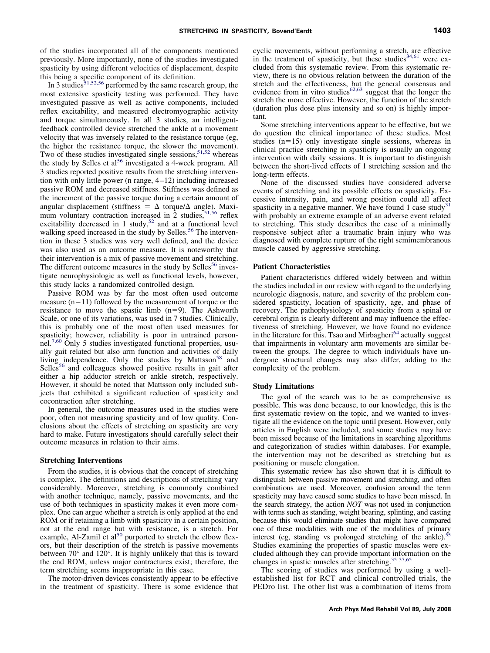of the studies incorporated all of the components mentioned previously. More importantly, none of the studies investigated spasticity by using different velocities of displacement, despite this being a specific component of its definition.

In 3 studies<sup>[51,52,56](#page-10-0)</sup> performed by the same research group, the most extensive spasticity testing was performed. They have investigated passive as well as active components, included reflex excitability, and measured electromyographic activity and torque simultaneously. In all 3 studies, an intelligentfeedback controlled device stretched the ankle at a movement velocity that was inversely related to the resistance torque (eg, the higher the resistance torque, the slower the movement). Two of these studies investigated single sessions,  $51,52$  whereas the study by Selles et  $al^{56}$  $al^{56}$  $al^{56}$  investigated a 4-week program. All 3 studies reported positive results from the stretching intervention with only little power (n range, 4–12) including increased passive ROM and decreased stiffness. Stiffness was defined as the increment of the passive torque during a certain amount of angular displacement (stiffness =  $\Delta$  torque/ $\Delta$  angle). Maximum voluntary contraction increased in  $2$  studies,  $51,56$  reflex excitability decreased in 1 study,<sup>[52](#page-10-0)</sup> and at a functional level walking speed increased in the study by Selles.<sup>[56](#page-10-0)</sup> The intervention in these 3 studies was very well defined, and the device was also used as an outcome measure. It is noteworthy that their intervention is a mix of passive movement and stretching. The different outcome measures in the study by Selles<sup>[56](#page-10-0)</sup> investigate neurophysiologic as well as functional levels, however, this study lacks a randomized controlled design.

Passive ROM was by far the most often used outcome measure  $(n=11)$  followed by the measurement of torque or the resistance to move the spastic limb  $(n=9)$ . The Ashworth Scale, or one of its variations, was used in 7 studies. Clinically, this is probably one of the most often used measures for spasticity; however, reliability is poor in untrained personnel.[7,60](#page-9-0) Only 5 studies investigated functional properties, usually gait related but also arm function and activities of daily living independence. Only the studies by Mattsson<sup>[58](#page-10-0)</sup> and Selles<sup>[56](#page-10-0)</sup> and colleagues showed positive results in gait after either a hip adductor stretch or ankle stretch, respectively. However, it should be noted that Mattsson only included subjects that exhibited a significant reduction of spasticity and cocontraction after stretching.

In general, the outcome measures used in the studies were poor, often not measuring spasticity and of low quality. Conclusions about the effects of stretching on spasticity are very hard to make. Future investigators should carefully select their outcome measures in relation to their aims.

#### **Stretching Interventions**

From the studies, it is obvious that the concept of stretching is complex. The definitions and descriptions of stretching vary considerably. Moreover, stretching is commonly combined with another technique, namely, passive movements, and the use of both techniques in spasticity makes it even more complex. One can argue whether a stretch is only applied at the end ROM or if retaining a limb with spasticity in a certain position, not at the end range but with resistance, is a stretch. For example, Al-Zamil et  $al^{50}$  $al^{50}$  $al^{50}$  purported to stretch the elbow flexors, but their description of the stretch is passive movements between 70° and 120°. It is highly unlikely that this is toward the end ROM, unless major contractures exist; therefore, the term stretching seems inappropriate in this case.

The motor-driven devices consistently appear to be effective in the treatment of spasticity. There is some evidence that cyclic movements, without performing a stretch, are effective in the treatment of spasticity, but these studies<sup>[34,61](#page-10-0)</sup> were excluded from this systematic review. From this systematic review, there is no obvious relation between the duration of the stretch and the effectiveness, but the general consensus and evidence from in vitro studies<sup>[62,63](#page-11-0)</sup> suggest that the longer the stretch the more effective. However, the function of the stretch (duration plus dose plus intensity and so on) is highly important.

Some stretching interventions appear to be effective, but we do question the clinical importance of these studies. Most studies  $(n=15)$  only investigate single sessions, whereas in clinical practice stretching in spasticity is usually an ongoing intervention with daily sessions. It is important to distinguish between the short-lived effects of 1 stretching session and the long-term effects.

None of the discussed studies have considered adverse events of stretching and its possible effects on spasticity. Excessive intensity, pain, and wrong position could all affect spasticity in a negative manner. We have found 1 case study<sup>[31](#page-10-0)</sup> with probably an extreme example of an adverse event related to stretching. This study describes the case of a minimally responsive subject after a traumatic brain injury who was diagnosed with complete rupture of the right semimembranous muscle caused by aggressive stretching.

#### **Patient Characteristics**

Patient characteristics differed widely between and within the studies included in our review with regard to the underlying neurologic diagnosis, nature, and severity of the problem considered spasticity, location of spasticity, age, and phase of recovery. The pathophysiology of spasticity from a spinal or cerebral origin is clearly different and may influence the effectiveness of stretching. However, we have found no evidence in the literature for this. Tsao and Mirbagheri<sup>[64](#page-11-0)</sup> actually suggest that impairments in voluntary arm movements are similar between the groups. The degree to which individuals have undergone structural changes may also differ, adding to the complexity of the problem.

#### **Study Limitations**

The goal of the search was to be as comprehensive as possible. This was done because, to our knowledge, this is the first systematic review on the topic, and we wanted to investigate all the evidence on the topic until present. However, only articles in English were included, and some studies may have been missed because of the limitations in searching algorithms and categorization of studies within databases. For example, the intervention may not be described as stretching but as positioning or muscle elongation.

This systematic review has also shown that it is difficult to distinguish between passive movement and stretching, and often combinations are used. Moreover, confusion around the term spasticity may have caused some studies to have been missed. In the search strategy, the action *NOT* was not used in conjunction with terms such as standing, weight bearing, splinting, and casting because this would eliminate studies that might have compared one of these modalities with one of the modalities of primary interest (eg, standing vs prolonged stretching of the ankle). $55$ Studies examining the properties of spastic muscles were ex-cluded although they can provide important information on the changes in spastic muscles after stretching.<sup>[35-37,65](#page-10-0)</sup>

The scoring of studies was performed by using a wellestablished list for RCT and clinical controlled trials, the PEDro list. The other list was a combination of items from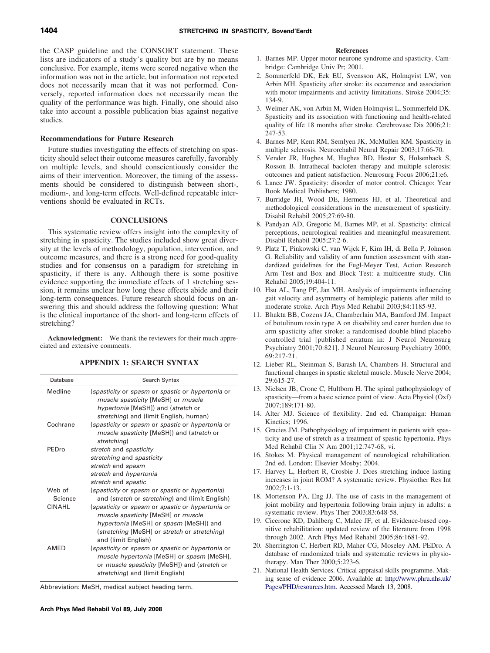<span id="page-9-0"></span>the CASP guideline and the CONSORT statement. These lists are indicators of a study's quality but are by no means conclusive. For example, items were scored negative when the information was not in the article, but information not reported does not necessarily mean that it was not performed. Conversely, reported information does not necessarily mean the quality of the performance was high. Finally, one should also take into account a possible publication bias against negative studies.

## **Recommendations for Future Research**

Future studies investigating the effects of stretching on spasticity should select their outcome measures carefully, favorably on multiple levels, and should conscientiously consider the aims of their intervention. Moreover, the timing of the assessments should be considered to distinguish between short-, medium-, and long-term effects. Well-defined repeatable interventions should be evaluated in RCTs.

# **CONCLUSIONS**

This systematic review offers insight into the complexity of stretching in spasticity. The studies included show great diversity at the levels of methodology, population, intervention, and outcome measures, and there is a strong need for good-quality studies and for consensus on a paradigm for stretching in spasticity, if there is any. Although there is some positive evidence supporting the immediate effects of 1 stretching session, it remains unclear how long these effects abide and their long-term consequences. Future research should focus on answering this and should address the following question: What is the clinical importance of the short- and long-term effects of stretching?

**Acknowledgment:** We thank the reviewers for their much appreciated and extensive comments.

# **APPENDIX 1: SEARCH SYNTAX**

| Database      | Search Syntax                                                                                                                                                                    |
|---------------|----------------------------------------------------------------------------------------------------------------------------------------------------------------------------------|
| Medline       | (spasticity or spasm or spastic or hypertonia or<br>muscle spasticity [MeSH] or muscle<br>hypertonia [MeSH]) and (stretch or<br>stretching) and (limit English, human)           |
| Cochrane      | (spasticity or spasm or spastic or hypertonia or<br>muscle spasticity [MeSH]) and (stretch or<br>stretching)                                                                     |
| PEDro         | stretch and spasticity                                                                                                                                                           |
|               | stretching and spasticity                                                                                                                                                        |
|               | stretch and spasm                                                                                                                                                                |
|               | stretch and hypertonia                                                                                                                                                           |
|               | stretch and spastic                                                                                                                                                              |
| Web of        | (spasticity or spasm or spastic or hypertonia)                                                                                                                                   |
| Science       | and ( <i>stretch</i> or <i>stretching</i> ) and (limit English)                                                                                                                  |
| <b>CINAHL</b> | (spasticity or spasm or spastic or hypertonia or<br>muscle spasticity [MeSH] or muscle                                                                                           |
|               | <i>hypertonia</i> [MeSH] or <i>spasm</i> [MeSH]) and                                                                                                                             |
|               | (stretching [MeSH] or stretch or stretching)<br>and (limit English)                                                                                                              |
| <b>AMFD</b>   | (spasticity or spasm or spastic or hypertonia or<br>muscle hypertonia [MeSH] or spasm [MeSH],<br>or muscle spasticity [MeSH]) and (stretch or<br>stretching) and (limit English) |

Abbreviation: MeSH, medical subject heading term.

## **References**

- 1. Barnes MP. Upper motor neurone syndrome and spasticity. Cambridge: Cambridge Univ Pr; 2001.
- 2. Sommerfeld DK, Eek EU, Svensson AK, Holmqvist LW, von Arbin MH. Spasticity after stroke: its occurrence and association with motor impairments and activity limitations. Stroke 2004;35: 134-9.
- 3. Welmer AK, von Arbin M, Widen Holmqvist L, Sommerfeld DK. Spasticity and its association with functioning and health-related quality of life 18 months after stroke. Cerebrovasc Dis 2006;21: 247-53.
- 4. Barnes MP, Kent RM, Semlyen JK, McMullen KM. Spasticity in multiple sclerosis. Neurorehabil Neural Repair 2003;17:66-70.
- 5. Vender JR, Hughes M, Hughes BD, Hester S, Holsenback S, Rosson B. Intrathecal baclofen therapy and multiple sclerosis: outcomes and patient satisfaction. Neurosurg Focus 2006;21:e6.
- 6. Lance JW. Spasticity: disorder of motor control. Chicago: Year Book Medical Publishers; 1980.
- 7. Burridge JH, Wood DE, Hermens HJ, et al. Theoretical and methodological considerations in the measurement of spasticity. Disabil Rehabil 2005;27:69-80.
- 8. Pandyan AD, Gregoric M, Barnes MP, et al. Spasticity: clinical perceptions, neurological realities and meaningful measurement. Disabil Rehabil 2005;27:2-6.
- 9. Platz T, Pinkowski C, van Wijck F, Kim IH, di Bella P, Johnson G. Reliability and validity of arm function assessment with standardized guidelines for the Fugl-Meyer Test, Action Research Arm Test and Box and Block Test: a multicentre study. Clin Rehabil 2005;19:404-11.
- 10. Hsu AL, Tang PF, Jan MH. Analysis of impairments influencing gait velocity and asymmetry of hemiplegic patients after mild to moderate stroke. Arch Phys Med Rehabil 2003;84:1185-93.
- 11. Bhakta BB, Cozens JA, Chamberlain MA, Bamford JM. Impact of botulinum toxin type A on disability and carer burden due to arm spasticity after stroke: a randomised double blind placebo controlled trial [published erratum in: J Neurol Neurosurg Psychiatry 2001;70:821]. J Neurol Neurosurg Psychiatry 2000; 69:217-21.
- 12. Lieber RL, Steinman S, Barash IA, Chambers H. Structural and functional changes in spastic skeletal muscle. Muscle Nerve 2004; 29:615-27.
- 13. Nielsen JB, Crone C, Hultborn H. The spinal pathophysiology of spasticity—from a basic science point of view. Acta Physiol (Oxf) 2007;189:171-80.
- 14. Alter MJ. Science of flexibility. 2nd ed. Champaign: Human Kinetics; 1996.
- 15. Gracies JM. Pathophysiology of impairment in patients with spasticity and use of stretch as a treatment of spastic hypertonia. Phys Med Rehabil Clin N Am 2001;12:747-68, vi.
- 16. Stokes M. Physical management of neurological rehabilitation. 2nd ed. London: Elsevier Mosby; 2004.
- 17. Harvey L, Herbert R, Crosbie J. Does stretching induce lasting increases in joint ROM? A systematic review. Physiother Res Int 2002;7:1-13.
- 18. Mortenson PA, Eng JJ. The use of casts in the management of joint mobility and hypertonia following brain injury in adults: a systematic review. Phys Ther 2003;83:648-58.
- 19. Cicerone KD, Dahlberg C, Malec JF, et al. Evidence-based cognitive rehabilitation: updated review of the literature from 1998 through 2002. Arch Phys Med Rehabil 2005;86:1681-92.
- 20. Sherrington C, Herbert RD, Maher CG, Moseley AM. PEDro. A database of randomized trials and systematic reviews in physiotherapy. Man Ther 2000;5:223-6.
- 21. National Health Services. Critical appraisal skills programme. Making sense of evidence 2006. Available at: [http://www.phru.nhs.uk/](http://www.phru.nhs.uk/Pages/PHD/resources.htm) [Pages/PHD/resources.htm.](http://www.phru.nhs.uk/Pages/PHD/resources.htm) Accessed March 13, 2008.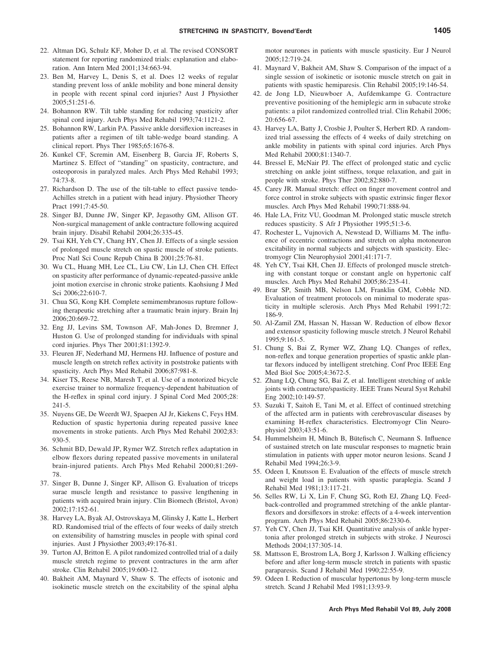- <span id="page-10-0"></span>22. Altman DG, Schulz KF, Moher D, et al. The revised CONSORT statement for reporting randomized trials: explanation and elaboration. Ann Intern Med 2001;134:663-94.
- 23. Ben M, Harvey L, Denis S, et al. Does 12 weeks of regular standing prevent loss of ankle mobility and bone mineral density in people with recent spinal cord injuries? Aust J Physiother 2005;51:251-6.
- 24. Bohannon RW. Tilt table standing for reducing spasticity after spinal cord injury. Arch Phys Med Rehabil 1993;74:1121-2.
- 25. Bohannon RW, Larkin PA. Passive ankle dorsiflexion increases in patients after a regimen of tilt table-wedge board standing. A clinical report. Phys Ther 1985;65:1676-8.
- 26. Kunkel CF, Scremin AM, Eisenberg B, Garcia JF, Roberts S, Martinez S. Effect of "standing" on spasticity, contracture, and osteoporosis in paralyzed males. Arch Phys Med Rehabil 1993; 74:73-8.
- 27. Richardson D. The use of the tilt-table to effect passive tendo-Achilles stretch in a patient with head injury. Physiother Theory Pract 1991;7:45-50.
- 28. Singer BJ, Dunne JW, Singer KP, Jegasothy GM, Allison GT. Non-surgical management of ankle contracture following acquired brain injury. Disabil Rehabil 2004;26:335-45.
- 29. Tsai KH, Yeh CY, Chang HY, Chen JJ. Effects of a single session of prolonged muscle stretch on spastic muscle of stroke patients. Proc Natl Sci Counc Repub China B 2001;25:76-81.
- 30. Wu CL, Huang MH, Lee CL, Liu CW, Lin LJ, Chen CH. Effect on spasticity after performance of dynamic-repeated-passive ankle joint motion exercise in chronic stroke patients. Kaohsiung J Med Sci 2006:22:610-7.
- 31. Chua SG, Kong KH. Complete semimembranosus rupture following therapeutic stretching after a traumatic brain injury. Brain Inj 2006;20:669-72.
- 32. Eng JJ, Levins SM, Townson AF, Mah-Jones D, Bremner J, Huston G. Use of prolonged standing for individuals with spinal cord injuries. Phys Ther 2001;81:1392-9.
- 33. Fleuren JF, Nederhand MJ, Hermens HJ. Influence of posture and muscle length on stretch reflex activity in poststroke patients with spasticity. Arch Phys Med Rehabil 2006;87:981-8.
- 34. Kiser TS, Reese NB, Maresh T, et al. Use of a motorized bicycle exercise trainer to normalize frequency-dependent habituation of the H-reflex in spinal cord injury. J Spinal Cord Med 2005;28: 241-5.
- 35. Nuyens GE, De Weerdt WJ, Spaepen AJ Jr, Kiekens C, Feys HM. Reduction of spastic hypertonia during repeated passive knee movements in stroke patients. Arch Phys Med Rehabil 2002;83: 930-5.
- 36. Schmit BD, Dewald JP, Rymer WZ. Stretch reflex adaptation in elbow flexors during repeated passive movements in unilateral brain-injured patients. Arch Phys Med Rehabil 2000;81:269- 78.
- 37. Singer B, Dunne J, Singer KP, Allison G. Evaluation of triceps surae muscle length and resistance to passive lengthening in patients with acquired brain injury. Clin Biomech (Bristol, Avon) 2002;17:152-61.
- 38. Harvey LA, Byak AJ, Ostrovskaya M, Glinsky J, Katte L, Herbert RD. Randomised trial of the effects of four weeks of daily stretch on extensibility of hamstring muscles in people with spinal cord injuries. Aust J Physiother 2003;49:176-81.
- 39. Turton AJ, Britton E. A pilot randomized controlled trial of a daily muscle stretch regime to prevent contractures in the arm after stroke. Clin Rehabil 2005;19:600-12.
- 40. Bakheit AM, Maynard V, Shaw S. The effects of isotonic and isokinetic muscle stretch on the excitability of the spinal alpha

motor neurones in patients with muscle spasticity. Eur J Neurol 2005;12:719-24.

- 41. Maynard V, Bakheit AM, Shaw S. Comparison of the impact of a single session of isokinetic or isotonic muscle stretch on gait in patients with spastic hemiparesis. Clin Rehabil 2005;19:146-54.
- 42. de Jong LD, Nieuwboer A, Aufdemkampe G. Contracture preventive positioning of the hemiplegic arm in subacute stroke patients: a pilot randomized controlled trial. Clin Rehabil 2006; 20:656-67.
- 43. Harvey LA, Batty J, Crosbie J, Poulter S, Herbert RD. A randomized trial assessing the effects of 4 weeks of daily stretching on ankle mobility in patients with spinal cord injuries. Arch Phys Med Rehabil 2000;81:1340-7.
- 44. Bressel E, McNair PJ. The effect of prolonged static and cyclic stretching on ankle joint stiffness, torque relaxation, and gait in people with stroke. Phys Ther 2002;82:880-7.
- 45. Carey JR. Manual stretch: effect on finger movement control and force control in stroke subjects with spastic extrinsic finger flexor muscles. Arch Phys Med Rehabil 1990;71:888-94.
- 46. Hale LA, Fritz VU, Goodman M. Prolonged static muscle stretch reduces spasticity. S Afr J Physiother 1995;51:3-6.
- 47. Rochester L, Vujnovich A, Newstead D, Williams M. The influence of eccentric contractions and stretch on alpha motoneuron excitability in normal subjects and subjects with spasticity. Electromyogr Clin Neurophysiol 2001;41:171-7.
- 48. Yeh CY, Tsai KH, Chen JJ. Effects of prolonged muscle stretching with constant torque or constant angle on hypertonic calf muscles. Arch Phys Med Rehabil 2005;86:235-41.
- 49. Brar SP, Smith MB, Nelson LM, Franklin GM, Cobble ND. Evaluation of treatment protocols on minimal to moderate spasticity in multiple sclerosis. Arch Phys Med Rehabil 1991;72: 186-9.
- 50. Al-Zamil ZM, Hassan N, Hassan W. Reduction of elbow flexor and extensor spasticity following muscle stretch. J Neurol Rehabil 1995;9:161-5.
- 51. Chung S, Bai Z, Rymer WZ, Zhang LQ. Changes of reflex, non-reflex and torque generation properties of spastic ankle plantar flexors induced by intelligent stretching. Conf Proc IEEE Eng Med Biol Soc 2005;4:3672-5.
- 52. Zhang LQ, Chung SG, Bai Z, et al. Intelligent stretching of ankle joints with contracture/spasticity. IEEE Trans Neural Syst Rehabil Eng 2002;10:149-57.
- 53. Suzuki T, Saitoh E, Tani M, et al. Effect of continued stretching of the affected arm in patients with cerebrovascular diseases by examining H-reflex characteristics. Electromyogr Clin Neurophysiol 2003;43:51-6.
- 54. Hummelsheim H, Münch B, Bütefisch C, Neumann S. Influence of sustained stretch on late muscular responses to magnetic brain stimulation in patients with upper motor neuron lesions. Scand J Rehabil Med 1994;26:3-9.
- 55. Odeen I, Knutsson E. Evaluation of the effects of muscle stretch and weight load in patients with spastic paraplegia. Scand J Rehabil Med 1981;13:117-21.
- 56. Selles RW, Li X, Lin F, Chung SG, Roth EJ, Zhang LQ. Feedback-controlled and programmed stretching of the ankle plantarflexors and dorsiflexors in stroke: effects of a 4-week intervention program. Arch Phys Med Rehabil 2005;86:2330-6.
- 57. Yeh CY, Chen JJ, Tsai KH. Quantitative analysis of ankle hypertonia after prolonged stretch in subjects with stroke. J Neurosci Methods 2004;137:305-14.
- 58. Mattsson E, Brostrom LA, Borg J, Karlsson J. Walking efficiency before and after long-term muscle stretch in patients with spastic paraparesis. Scand J Rehabil Med 1990;22:55-9.
- 59. Odeen I. Reduction of muscular hypertonus by long-term muscle stretch. Scand J Rehabil Med 1981;13:93-9.